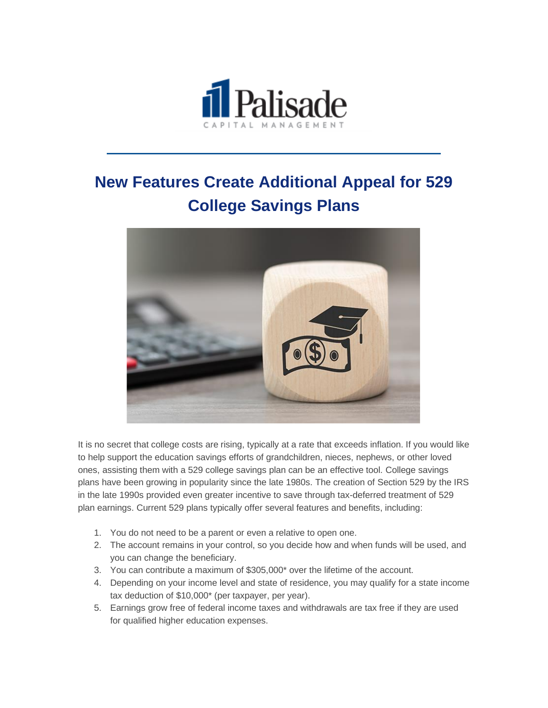

## **New Features Create Additional Appeal for 529 College Savings Plans**



It is no secret that college costs are rising, typically at a rate that exceeds inflation. If you would like to help support the education savings efforts of grandchildren, nieces, nephews, or other loved ones, assisting them with a 529 college savings plan can be an effective tool. College savings plans have been growing in popularity since the late 1980s. The creation of Section 529 by the IRS in the late 1990s provided even greater incentive to save through tax-deferred treatment of 529 plan earnings. Current 529 plans typically offer several features and benefits, including:

- 1. You do not need to be a parent or even a relative to open one.
- 2. The account remains in your control, so you decide how and when funds will be used, and you can change the beneficiary.
- 3. You can contribute a maximum of \$305,000\* over the lifetime of the account.
- 4. Depending on your income level and state of residence, you may qualify for a state income tax deduction of \$10,000\* (per taxpayer, per year).
- 5. Earnings grow free of federal income taxes and withdrawals are tax free if they are used for qualified higher education expenses.